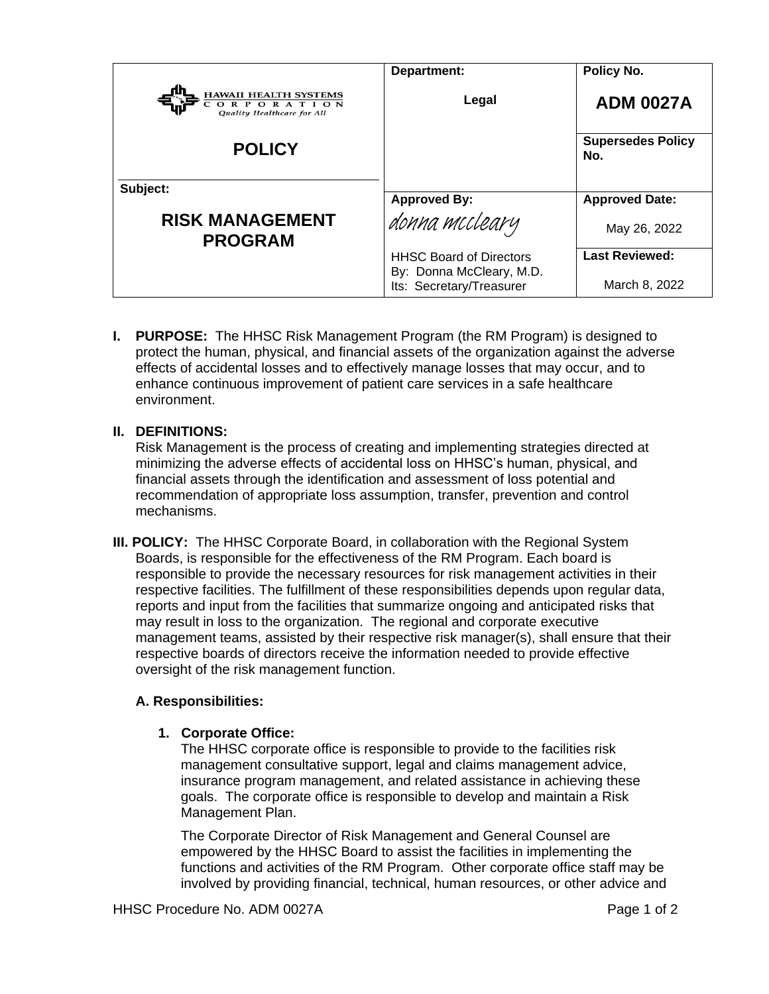|                                                                          | Department:                                          | Policy No.                      |
|--------------------------------------------------------------------------|------------------------------------------------------|---------------------------------|
| <b>HAWAII HEALTH SYSTEMS</b><br>ORPORATION<br>Quality Healthcare for All | Legal                                                | <b>ADM 0027A</b>                |
| <b>POLICY</b>                                                            |                                                      | <b>Supersedes Policy</b><br>No. |
| Subject:                                                                 |                                                      |                                 |
|                                                                          | <b>Approved By:</b>                                  | <b>Approved Date:</b>           |
| <b>RISK MANAGEMENT</b><br><b>PROGRAM</b>                                 | donna mccleary                                       | May 26, 2022                    |
|                                                                          | <b>HHSC Board of Directors</b>                       | <b>Last Reviewed:</b>           |
|                                                                          | By: Donna McCleary, M.D.<br>Its: Secretary/Treasurer | March 8, 2022                   |

**I. PURPOSE:** The HHSC Risk Management Program (the RM Program) is designed to protect the human, physical, and financial assets of the organization against the adverse effects of accidental losses and to effectively manage losses that may occur, and to enhance continuous improvement of patient care services in a safe healthcare environment.

# **II. DEFINITIONS:**

Risk Management is the process of creating and implementing strategies directed at minimizing the adverse effects of accidental loss on HHSC's human, physical, and financial assets through the identification and assessment of loss potential and recommendation of appropriate loss assumption, transfer, prevention and control mechanisms.

**III. POLICY:** The HHSC Corporate Board, in collaboration with the Regional System Boards, is responsible for the effectiveness of the RM Program. Each board is responsible to provide the necessary resources for risk management activities in their respective facilities. The fulfillment of these responsibilities depends upon regular data, reports and input from the facilities that summarize ongoing and anticipated risks that may result in loss to the organization. The regional and corporate executive management teams, assisted by their respective risk manager(s), shall ensure that their respective boards of directors receive the information needed to provide effective oversight of the risk management function.

### **A. Responsibilities:**

### **1. Corporate Office:**

The HHSC corporate office is responsible to provide to the facilities risk management consultative support, legal and claims management advice, insurance program management, and related assistance in achieving these goals. The corporate office is responsible to develop and maintain a Risk Management Plan.

The Corporate Director of Risk Management and General Counsel are empowered by the HHSC Board to assist the facilities in implementing the functions and activities of the RM Program. Other corporate office staff may be involved by providing financial, technical, human resources, or other advice and